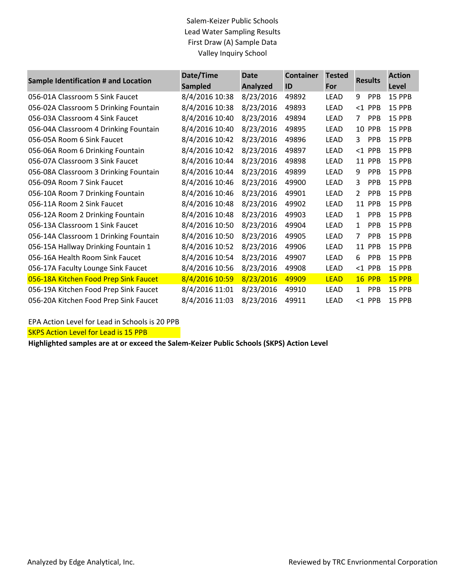## Salem-Keizer Public Schools Lead Water Sampling Results First Draw (A) Sample Data Valley Inquiry School

| Sample Identification # and Location  | Date/Time<br><b>Sampled</b> | <b>Date</b><br>Analyzed | <b>Container</b><br>ID | <b>Tested</b><br>For | <b>Results</b>        | <b>Action</b><br>Level |
|---------------------------------------|-----------------------------|-------------------------|------------------------|----------------------|-----------------------|------------------------|
| 056-01A Classroom 5 Sink Faucet       | 8/4/2016 10:38              | 8/23/2016               | 49892                  | LEAD                 | 9<br>PPB              | 15 PPB                 |
| 056-02A Classroom 5 Drinking Fountain | 8/4/2016 10:38              | 8/23/2016               | 49893                  | LEAD                 | $<$ 1 PPB             | 15 PPB                 |
| 056-03A Classroom 4 Sink Faucet       | 8/4/2016 10:40              | 8/23/2016               | 49894                  | LEAD                 | PPB<br>7              | 15 PPB                 |
| 056-04A Classroom 4 Drinking Fountain | 8/4/2016 10:40              | 8/23/2016               | 49895                  | LEAD                 | 10 PPB                | 15 PPB                 |
| 056-05A Room 6 Sink Faucet            | 8/4/2016 10:42              | 8/23/2016               | 49896                  | LEAD                 | PPB<br>3              | 15 PPB                 |
| 056-06A Room 6 Drinking Fountain      | 8/4/2016 10:42              | 8/23/2016               | 49897                  | LEAD                 | $<$ 1 PPB             | 15 PPB                 |
| 056-07A Classroom 3 Sink Faucet       | 8/4/2016 10:44              | 8/23/2016               | 49898                  | LEAD                 | 11 PPB                | 15 PPB                 |
| 056-08A Classroom 3 Drinking Fountain | 8/4/2016 10:44              | 8/23/2016               | 49899                  | LEAD                 | 9<br>PPB              | 15 PPB                 |
| 056-09A Room 7 Sink Faucet            | 8/4/2016 10:46              | 8/23/2016               | 49900                  | LEAD                 | PPB<br>3              | 15 PPB                 |
| 056-10A Room 7 Drinking Fountain      | 8/4/2016 10:46              | 8/23/2016               | 49901                  | LEAD                 | $\overline{2}$<br>PPB | 15 PPB                 |
| 056-11A Room 2 Sink Faucet            | 8/4/2016 10:48              | 8/23/2016               | 49902                  | LEAD                 | 11 PPB                | 15 PPB                 |
| 056-12A Room 2 Drinking Fountain      | 8/4/2016 10:48              | 8/23/2016               | 49903                  | <b>LEAD</b>          | <b>PPB</b><br>1       | 15 PPB                 |
| 056-13A Classroom 1 Sink Faucet       | 8/4/2016 10:50              | 8/23/2016               | 49904                  | LEAD                 | PPB<br>1              | 15 PPB                 |
| 056-14A Classroom 1 Drinking Fountain | 8/4/2016 10:50              | 8/23/2016               | 49905                  | LEAD                 | 7<br><b>PPB</b>       | 15 PPB                 |
| 056-15A Hallway Drinking Fountain 1   | 8/4/2016 10:52              | 8/23/2016               | 49906                  | LEAD                 | 11 PPB                | 15 PPB                 |
| 056-16A Health Room Sink Faucet       | 8/4/2016 10:54              | 8/23/2016               | 49907                  | LEAD                 | <b>PPB</b><br>6       | 15 PPB                 |
| 056-17A Faculty Lounge Sink Faucet    | 8/4/2016 10:56              | 8/23/2016               | 49908                  | <b>LEAD</b>          | $<$ 1 PPB             | 15 PPB                 |
| 056-18A Kitchen Food Prep Sink Faucet | 8/4/2016 10:59              | 8/23/2016               | 49909                  | <b>LEAD</b>          | <b>16 PPB</b>         | 15 PPB                 |
| 056-19A Kitchen Food Prep Sink Faucet | 8/4/2016 11:01              | 8/23/2016               | 49910                  | LEAD                 | PPB<br>$\mathbf{1}$   | 15 PPB                 |
| 056-20A Kitchen Food Prep Sink Faucet | 8/4/2016 11:03              | 8/23/2016               | 49911                  | LEAD                 | $<$ 1 PPB             | 15 PPB                 |

## EPA Action Level for Lead in Schools is 20 PPB

**SKPS Action Level for Lead is 15 PPB** 

**Highlighted samples are at or exceed the Salem-Keizer Public Schools (SKPS) Action Level**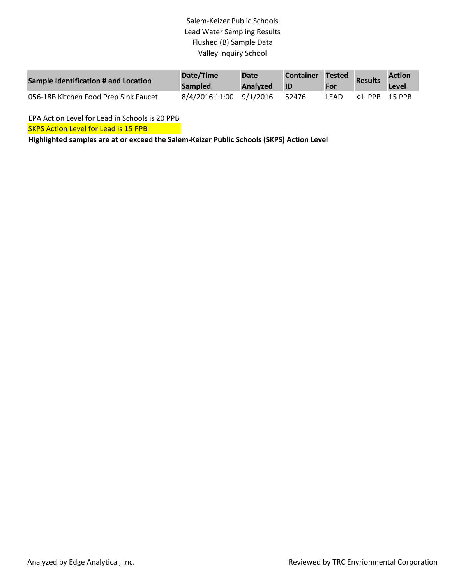## Salem-Keizer Public Schools Lead Water Sampling Results Flushed (B) Sample Data Valley Inquiry School

| Sample Identification # and Location  | Date/Time<br><b>Sampled</b> | <b>Date</b><br>Analyzed | <b>Container</b><br>ID | Tested<br>For | <b>Results</b>   | <b>Action</b><br>Level |
|---------------------------------------|-----------------------------|-------------------------|------------------------|---------------|------------------|------------------------|
| 056-18B Kitchen Food Prep Sink Faucet | 8/4/2016 11:00 9/1/2016     |                         | 52476                  | LFAD          | $<$ 1 PPB 15 PPB |                        |

EPA Action Level for Lead in Schools is 20 PPB

**SKPS Action Level for Lead is 15 PPB** 

**Highlighted samples are at or exceed the Salem-Keizer Public Schools (SKPS) Action Level**